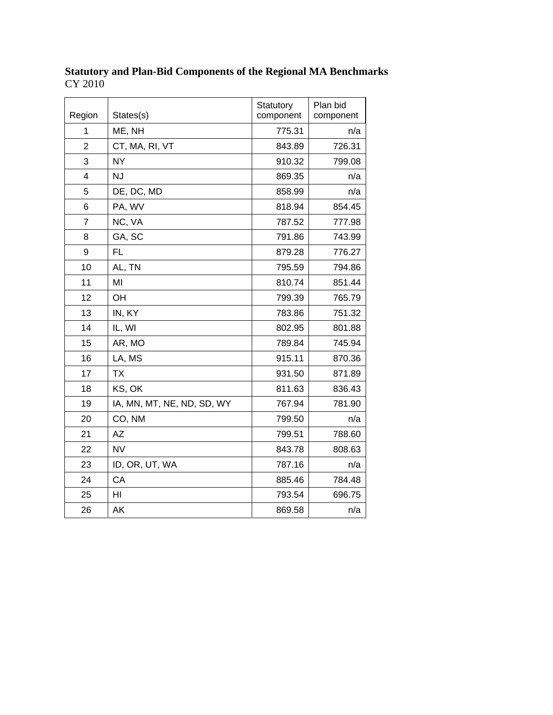| Region         | States(s)                  | Statutory<br>component | Plan bid<br>component |
|----------------|----------------------------|------------------------|-----------------------|
| 1              | ME, NH                     | 775.31                 | n/a                   |
| $\overline{2}$ | CT, MA, RI, VT             | 843.89                 | 726.31                |
| 3              | <b>NY</b>                  | 910.32                 | 799.08                |
| 4              | <b>NJ</b>                  | 869.35                 | n/a                   |
| 5              | DE, DC, MD                 | 858.99                 | n/a                   |
| 6              | PA, WV                     | 818.94                 | 854.45                |
| $\overline{7}$ | NC, VA                     | 787.52                 | 777.98                |
| 8              | GA, SC                     | 791.86                 | 743.99                |
| 9              | <b>FL</b>                  | 879.28                 | 776.27                |
| 10             | AL, TN                     | 795.59                 | 794.86                |
| 11             | MI                         | 810.74                 | 851.44                |
| 12             | OH                         | 799.39                 | 765.79                |
| 13             | IN, KY                     | 783.86                 | 751.32                |
| 14             | IL, WI                     | 802.95                 | 801.88                |
| 15             | AR, MO                     | 789.84                 | 745.94                |
| 16             | LA, MS                     | 915.11                 | 870.36                |
| 17             | <b>TX</b>                  | 931.50                 | 871.89                |
| 18             | KS, OK                     | 811.63                 | 836.43                |
| 19             | IA, MN, MT, NE, ND, SD, WY | 767.94                 | 781.90                |
| 20             | CO, NM                     | 799.50                 | n/a                   |
| 21             | <b>AZ</b>                  | 799.51                 | 788.60                |
| 22             | <b>NV</b>                  | 843.78                 | 808.63                |
| 23             | ID, OR, UT, WA             | 787.16                 | n/a                   |
| 24             | CA                         | 885.46                 | 784.48                |
| 25             | HI                         | 793.54                 | 696.75                |
| 26             | AK                         | 869.58                 | n/a                   |

**Statutory and Plan-Bid Components of the Regional MA Benchmarks**  CY 2010